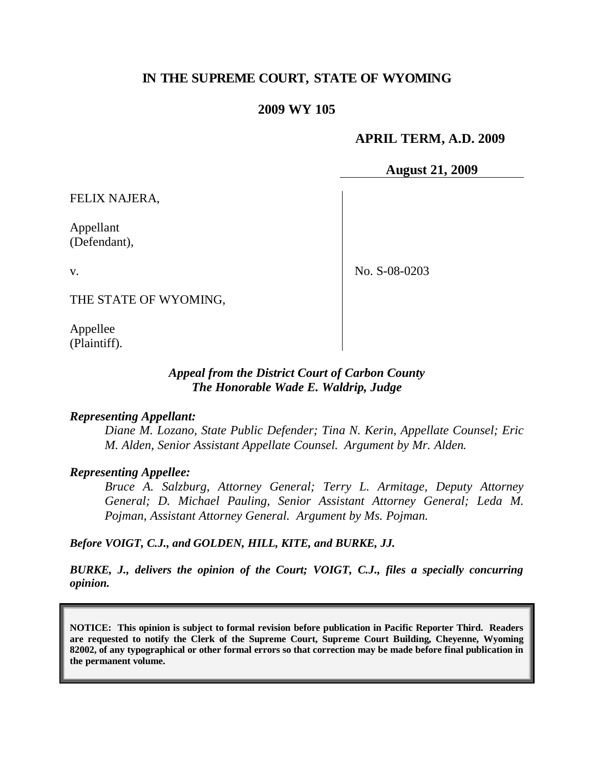# **IN THE SUPREME COURT, STATE OF WYOMING**

## **2009 WY 105**

#### **APRIL TERM, A.D. 2009**

**August 21, 2009**

FELIX NAJERA,

Appellant (Defendant),

v.

No. S-08-0203

THE STATE OF WYOMING,

Appellee (Plaintiff).

## *Appeal from the District Court of Carbon County The Honorable Wade E. Waldrip, Judge*

#### *Representing Appellant:*

*Diane M. Lozano, State Public Defender; Tina N. Kerin, Appellate Counsel; Eric M. Alden, Senior Assistant Appellate Counsel. Argument by Mr. Alden.*

#### *Representing Appellee:*

*Bruce A. Salzburg, Attorney General; Terry L. Armitage, Deputy Attorney General; D. Michael Pauling, Senior Assistant Attorney General; Leda M. Pojman, Assistant Attorney General. Argument by Ms. Pojman.*

*Before VOIGT, C.J., and GOLDEN, HILL, KITE, and BURKE, JJ.*

*BURKE, J., delivers the opinion of the Court; VOIGT, C.J., files a specially concurring opinion.*

**NOTICE: This opinion is subject to formal revision before publication in Pacific Reporter Third. Readers are requested to notify the Clerk of the Supreme Court, Supreme Court Building, Cheyenne, Wyoming 82002, of any typographical or other formal errors so that correction may be made before final publication in the permanent volume.**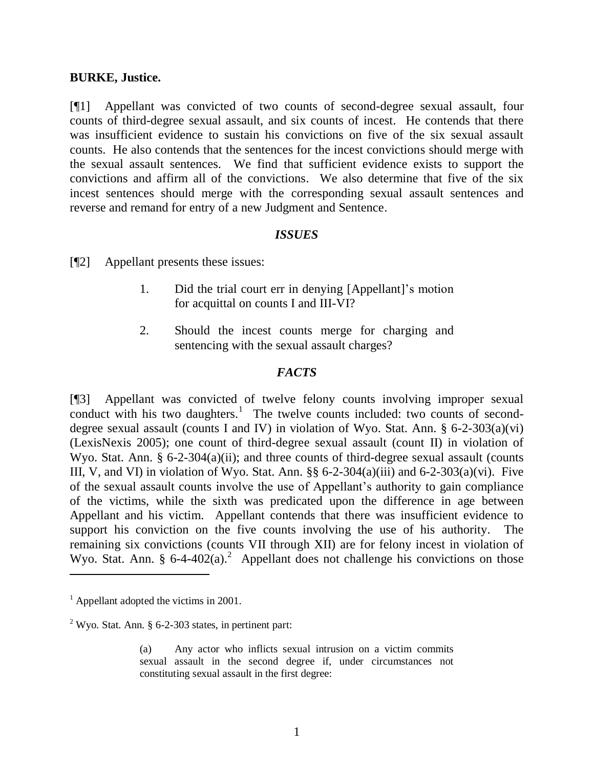#### **BURKE, Justice.**

[¶1] Appellant was convicted of two counts of second-degree sexual assault, four counts of third-degree sexual assault, and six counts of incest. He contends that there was insufficient evidence to sustain his convictions on five of the six sexual assault counts. He also contends that the sentences for the incest convictions should merge with the sexual assault sentences. We find that sufficient evidence exists to support the convictions and affirm all of the convictions. We also determine that five of the six incest sentences should merge with the corresponding sexual assault sentences and reverse and remand for entry of a new Judgment and Sentence.

## *ISSUES*

[¶2] Appellant presents these issues:

- 1. Did the trial court err in denying [Appellant]'s motion for acquittal on counts I and III-VI?
- 2. Should the incest counts merge for charging and sentencing with the sexual assault charges?

## *FACTS*

[¶3] Appellant was convicted of twelve felony counts involving improper sexual conduct with his two daughters.<sup>1</sup> The twelve counts included: two counts of seconddegree sexual assault (counts I and IV) in violation of Wyo. Stat. Ann. § 6-2-303(a)(vi) (LexisNexis 2005); one count of third-degree sexual assault (count II) in violation of Wyo. Stat. Ann. § 6-2-304(a)(ii); and three counts of third-degree sexual assault (counts III, V, and VI) in violation of Wyo. Stat. Ann.  $\S$ § 6-2-304(a)(iii) and 6-2-303(a)(vi). Five of the sexual assault counts involve the use of Appellant's authority to gain compliance of the victims, while the sixth was predicated upon the difference in age between Appellant and his victim. Appellant contends that there was insufficient evidence to support his conviction on the five counts involving the use of his authority. The remaining six convictions (counts VII through XII) are for felony incest in violation of Wyo. Stat. Ann. §  $6-4-402(a)$ .<sup>2</sup> Appellant does not challenge his convictions on those

 $\overline{a}$ 

 $<sup>1</sup>$  Appellant adopted the victims in 2001.</sup>

 $2$  Wyo. Stat. Ann. § 6-2-303 states, in pertinent part:

<sup>(</sup>a) Any actor who inflicts sexual intrusion on a victim commits sexual assault in the second degree if, under circumstances not constituting sexual assault in the first degree: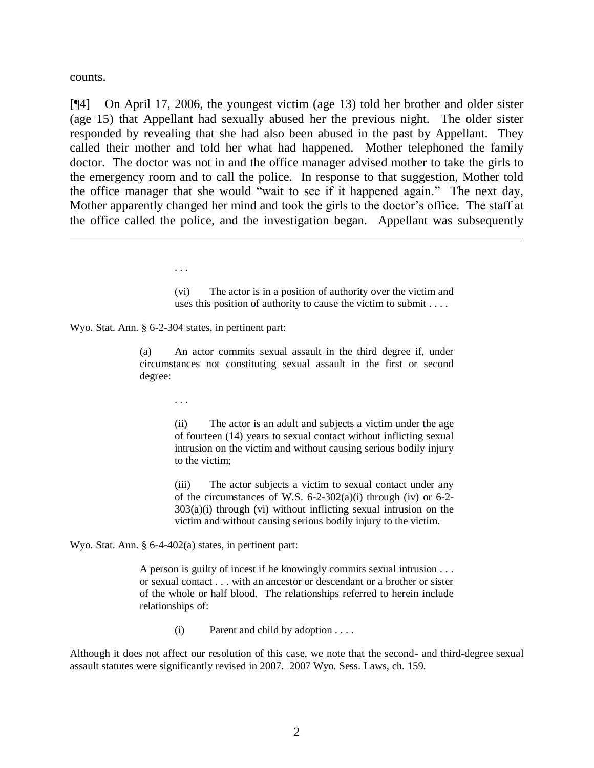counts.

[¶4] On April 17, 2006, the youngest victim (age 13) told her brother and older sister (age 15) that Appellant had sexually abused her the previous night. The older sister responded by revealing that she had also been abused in the past by Appellant. They called their mother and told her what had happened. Mother telephoned the family doctor. The doctor was not in and the office manager advised mother to take the girls to the emergency room and to call the police. In response to that suggestion, Mother told the office manager that she would "wait to see if it happened again." The next day, Mother apparently changed her mind and took the girls to the doctor's office. The staff at the office called the police, and the investigation began. Appellant was subsequently

> (vi) The actor is in a position of authority over the victim and uses this position of authority to cause the victim to submit . . . .

Wyo. Stat. Ann. § 6-2-304 states, in pertinent part:

. . .

(a) An actor commits sexual assault in the third degree if, under circumstances not constituting sexual assault in the first or second degree:

. . .

(ii) The actor is an adult and subjects a victim under the age of fourteen (14) years to sexual contact without inflicting sexual intrusion on the victim and without causing serious bodily injury to the victim;

(iii) The actor subjects a victim to sexual contact under any of the circumstances of W.S.  $6-2-302(a)(i)$  through (iv) or  $6-2 303(a)(i)$  through (vi) without inflicting sexual intrusion on the victim and without causing serious bodily injury to the victim.

Wyo. Stat. Ann. § 6-4-402(a) states, in pertinent part:

A person is guilty of incest if he knowingly commits sexual intrusion . . . or sexual contact . . . with an ancestor or descendant or a brother or sister of the whole or half blood. The relationships referred to herein include relationships of:

(i) Parent and child by adoption . . . .

Although it does not affect our resolution of this case, we note that the second- and third-degree sexual assault statutes were significantly revised in 2007. 2007 Wyo. Sess. Laws, ch. 159.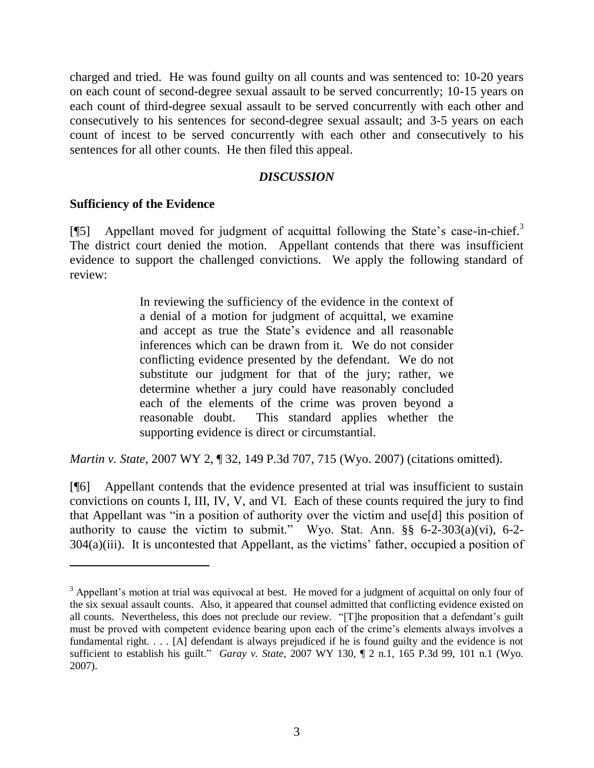charged and tried. He was found guilty on all counts and was sentenced to: 10-20 years on each count of second-degree sexual assault to be served concurrently; 10-15 years on each count of third-degree sexual assault to be served concurrently with each other and consecutively to his sentences for second-degree sexual assault; and 3-5 years on each count of incest to be served concurrently with each other and consecutively to his sentences for all other counts. He then filed this appeal.

## *DISCUSSION*

## **Sufficiency of the Evidence**

 $\overline{a}$ 

[¶5] Appellant moved for judgment of acquittal following the State's case-in-chief.<sup>3</sup> The district court denied the motion. Appellant contends that there was insufficient evidence to support the challenged convictions. We apply the following standard of review:

> In reviewing the sufficiency of the evidence in the context of a denial of a motion for judgment of acquittal, we examine and accept as true the State's evidence and all reasonable inferences which can be drawn from it. We do not consider conflicting evidence presented by the defendant. We do not substitute our judgment for that of the jury; rather, we determine whether a jury could have reasonably concluded each of the elements of the crime was proven beyond a reasonable doubt. This standard applies whether the supporting evidence is direct or circumstantial.

*Martin v. State*, 2007 WY 2, ¶ 32, 149 P.3d 707, 715 (Wyo. 2007) (citations omitted).

[¶6] Appellant contends that the evidence presented at trial was insufficient to sustain convictions on counts I, III, IV, V, and VI. Each of these counts required the jury to find that Appellant was "in a position of authority over the victim and use[d] this position of authority to cause the victim to submit." Wyo. Stat. Ann.  $\S$ § 6-2-303(a)(vi), 6-2-304(a)(iii). It is uncontested that Appellant, as the victims' father, occupied a position of

<sup>&</sup>lt;sup>3</sup> Appellant's motion at trial was equivocal at best. He moved for a judgment of acquittal on only four of the six sexual assault counts. Also, it appeared that counsel admitted that conflicting evidence existed on all counts. Nevertheless, this does not preclude our review. "[T]he proposition that a defendant's guilt must be proved with competent evidence bearing upon each of the crime's elements always involves a fundamental right. . . . [A] defendant is always prejudiced if he is found guilty and the evidence is not sufficient to establish his guilt." *Garay v. State*, 2007 WY 130, ¶ 2 n.1, 165 P.3d 99, 101 n.1 (Wyo. 2007).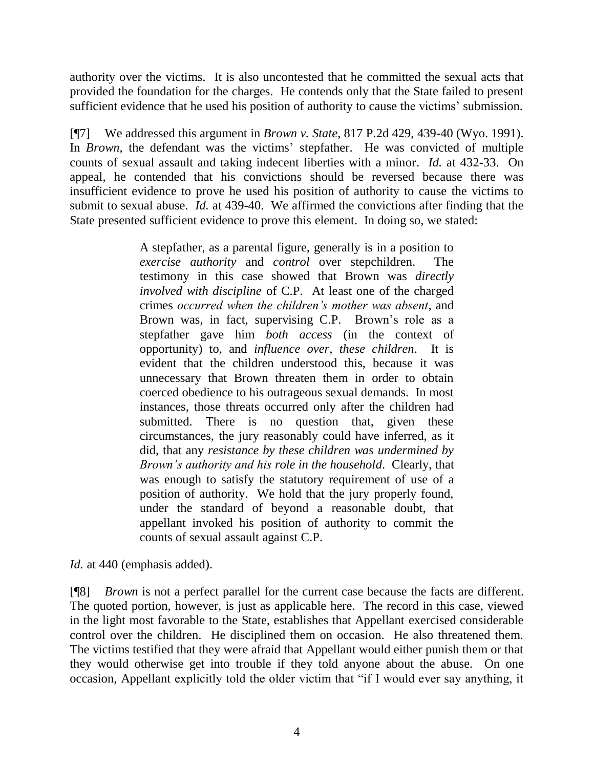authority over the victims. It is also uncontested that he committed the sexual acts that provided the foundation for the charges. He contends only that the State failed to present sufficient evidence that he used his position of authority to cause the victims' submission.

[¶7] We addressed this argument in *Brown v. State*, 817 P.2d 429, 439-40 (Wyo. 1991). In *Brown*, the defendant was the victims' stepfather. He was convicted of multiple counts of sexual assault and taking indecent liberties with a minor. *Id.* at 432-33. On appeal, he contended that his convictions should be reversed because there was insufficient evidence to prove he used his position of authority to cause the victims to submit to sexual abuse. *Id.* at 439-40. We affirmed the convictions after finding that the State presented sufficient evidence to prove this element. In doing so, we stated:

> A stepfather, as a parental figure, generally is in a position to *exercise authority* and *control* over stepchildren. The testimony in this case showed that Brown was *directly involved with discipline* of C.P. At least one of the charged crimes *occurred when the children's mother was absent*, and Brown was, in fact, supervising C.P. Brown's role as a stepfather gave him *both access* (in the context of opportunity) to, and *influence over, these children*. It is evident that the children understood this, because it was unnecessary that Brown threaten them in order to obtain coerced obedience to his outrageous sexual demands. In most instances, those threats occurred only after the children had submitted. There is no question that, given these circumstances, the jury reasonably could have inferred, as it did, that any *resistance by these children was undermined by Brown's authority and his role in the household*. Clearly, that was enough to satisfy the statutory requirement of use of a position of authority. We hold that the jury properly found, under the standard of beyond a reasonable doubt, that appellant invoked his position of authority to commit the counts of sexual assault against C.P.

*Id.* at 440 (emphasis added).

[¶8] *Brown* is not a perfect parallel for the current case because the facts are different. The quoted portion, however, is just as applicable here. The record in this case, viewed in the light most favorable to the State, establishes that Appellant exercised considerable control over the children. He disciplined them on occasion. He also threatened them. The victims testified that they were afraid that Appellant would either punish them or that they would otherwise get into trouble if they told anyone about the abuse. On one occasion, Appellant explicitly told the older victim that "if I would ever say anything, it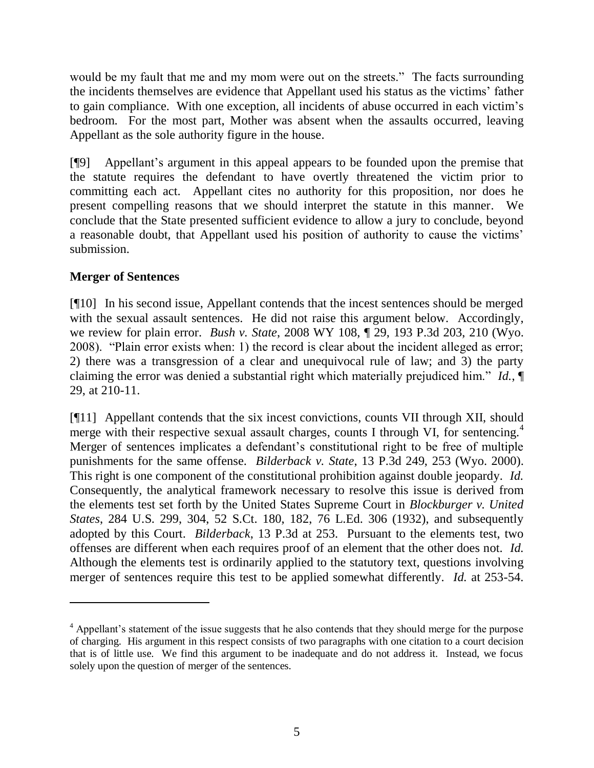would be my fault that me and my mom were out on the streets." The facts surrounding the incidents themselves are evidence that Appellant used his status as the victims' father to gain compliance. With one exception, all incidents of abuse occurred in each victim's bedroom. For the most part, Mother was absent when the assaults occurred, leaving Appellant as the sole authority figure in the house.

[¶9] Appellant's argument in this appeal appears to be founded upon the premise that the statute requires the defendant to have overtly threatened the victim prior to committing each act. Appellant cites no authority for this proposition, nor does he present compelling reasons that we should interpret the statute in this manner. We conclude that the State presented sufficient evidence to allow a jury to conclude, beyond a reasonable doubt, that Appellant used his position of authority to cause the victims' submission.

# **Merger of Sentences**

 $\overline{a}$ 

[¶10] In his second issue, Appellant contends that the incest sentences should be merged with the sexual assault sentences. He did not raise this argument below. Accordingly, we review for plain error. *Bush v. State*, 2008 WY 108, ¶ 29, 193 P.3d 203, 210 (Wyo. 2008). "Plain error exists when: 1) the record is clear about the incident alleged as error; 2) there was a transgression of a clear and unequivocal rule of law; and 3) the party claiming the error was denied a substantial right which materially prejudiced him." *Id.*, ¶ 29, at 210-11.

[¶11] Appellant contends that the six incest convictions, counts VII through XII, should merge with their respective sexual assault charges, counts I through VI, for sentencing.<sup>4</sup> Merger of sentences implicates a defendant's constitutional right to be free of multiple punishments for the same offense. *Bilderback v. State*, 13 P.3d 249, 253 (Wyo. 2000). This right is one component of the constitutional prohibition against double jeopardy. *Id.* Consequently, the analytical framework necessary to resolve this issue is derived from the elements test set forth by the United States Supreme Court in *Blockburger v. United States*, 284 U.S. 299, 304, 52 S.Ct. 180, 182, 76 L.Ed. 306 (1932), and subsequently adopted by this Court. *Bilderback*, 13 P.3d at 253. Pursuant to the elements test, two offenses are different when each requires proof of an element that the other does not. *Id.* Although the elements test is ordinarily applied to the statutory text, questions involving merger of sentences require this test to be applied somewhat differently. *Id.* at 253-54.

<sup>&</sup>lt;sup>4</sup> Appellant's statement of the issue suggests that he also contends that they should merge for the purpose of charging. His argument in this respect consists of two paragraphs with one citation to a court decision that is of little use. We find this argument to be inadequate and do not address it. Instead, we focus solely upon the question of merger of the sentences.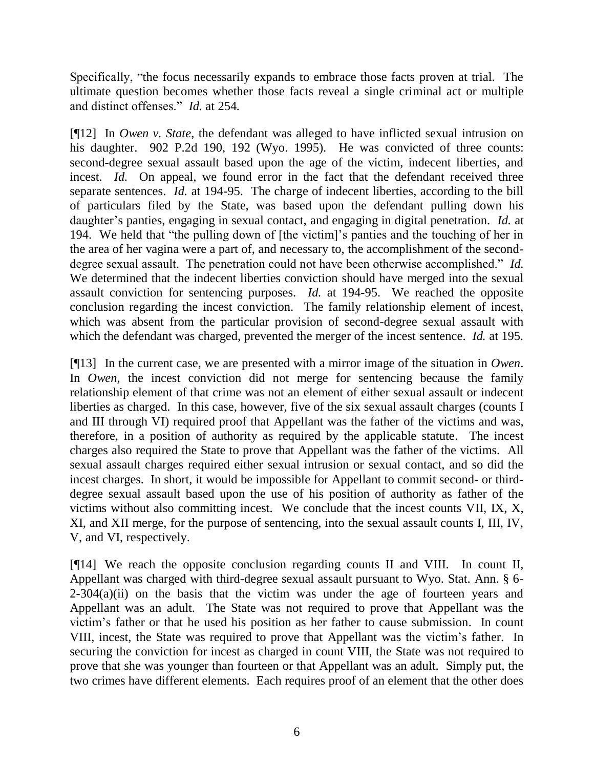Specifically, "the focus necessarily expands to embrace those facts proven at trial. The ultimate question becomes whether those facts reveal a single criminal act or multiple and distinct offenses." *Id.* at 254.

[¶12] In *Owen v. State*, the defendant was alleged to have inflicted sexual intrusion on his daughter. 902 P.2d 190, 192 (Wyo. 1995). He was convicted of three counts: second-degree sexual assault based upon the age of the victim, indecent liberties, and incest. *Id.* On appeal, we found error in the fact that the defendant received three separate sentences. *Id.* at 194-95. The charge of indecent liberties, according to the bill of particulars filed by the State, was based upon the defendant pulling down his daughter's panties, engaging in sexual contact, and engaging in digital penetration. *Id.* at 194. We held that "the pulling down of [the victim]'s panties and the touching of her in the area of her vagina were a part of, and necessary to, the accomplishment of the seconddegree sexual assault. The penetration could not have been otherwise accomplished." *Id.* We determined that the indecent liberties conviction should have merged into the sexual assault conviction for sentencing purposes. *Id.* at 194-95. We reached the opposite conclusion regarding the incest conviction. The family relationship element of incest, which was absent from the particular provision of second-degree sexual assault with which the defendant was charged, prevented the merger of the incest sentence. *Id.* at 195.

[¶13] In the current case, we are presented with a mirror image of the situation in *Owen*. In *Owen*, the incest conviction did not merge for sentencing because the family relationship element of that crime was not an element of either sexual assault or indecent liberties as charged. In this case, however, five of the six sexual assault charges (counts I and III through VI) required proof that Appellant was the father of the victims and was, therefore, in a position of authority as required by the applicable statute. The incest charges also required the State to prove that Appellant was the father of the victims. All sexual assault charges required either sexual intrusion or sexual contact, and so did the incest charges. In short, it would be impossible for Appellant to commit second- or thirddegree sexual assault based upon the use of his position of authority as father of the victims without also committing incest. We conclude that the incest counts VII, IX, X, XI, and XII merge, for the purpose of sentencing, into the sexual assault counts I, III, IV, V, and VI, respectively.

[¶14] We reach the opposite conclusion regarding counts II and VIII. In count II, Appellant was charged with third-degree sexual assault pursuant to Wyo. Stat. Ann. § 6-  $2-304(a)(ii)$  on the basis that the victim was under the age of fourteen years and Appellant was an adult. The State was not required to prove that Appellant was the victim's father or that he used his position as her father to cause submission. In count VIII, incest, the State was required to prove that Appellant was the victim's father. In securing the conviction for incest as charged in count VIII, the State was not required to prove that she was younger than fourteen or that Appellant was an adult. Simply put, the two crimes have different elements. Each requires proof of an element that the other does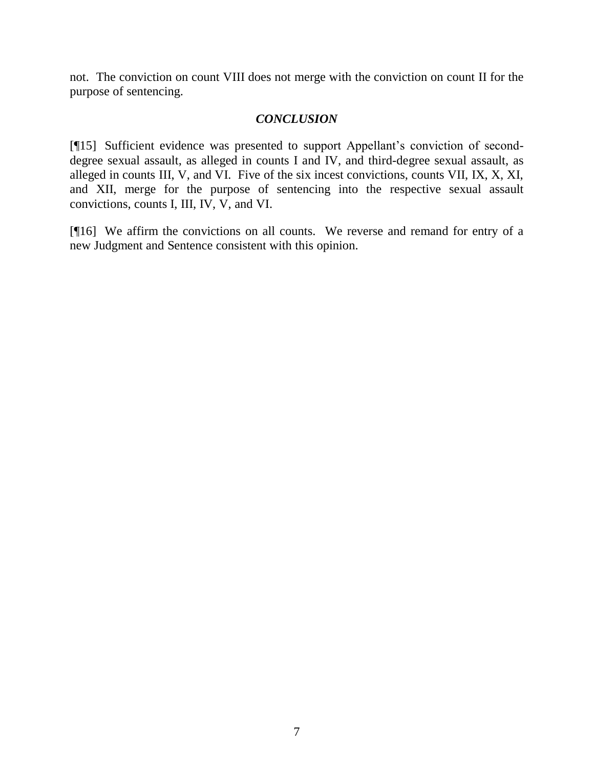not. The conviction on count VIII does not merge with the conviction on count II for the purpose of sentencing.

## *CONCLUSION*

[¶15] Sufficient evidence was presented to support Appellant's conviction of seconddegree sexual assault, as alleged in counts I and IV, and third-degree sexual assault, as alleged in counts III, V, and VI. Five of the six incest convictions, counts VII, IX, X, XI, and XII, merge for the purpose of sentencing into the respective sexual assault convictions, counts I, III, IV, V, and VI.

[¶16] We affirm the convictions on all counts. We reverse and remand for entry of a new Judgment and Sentence consistent with this opinion.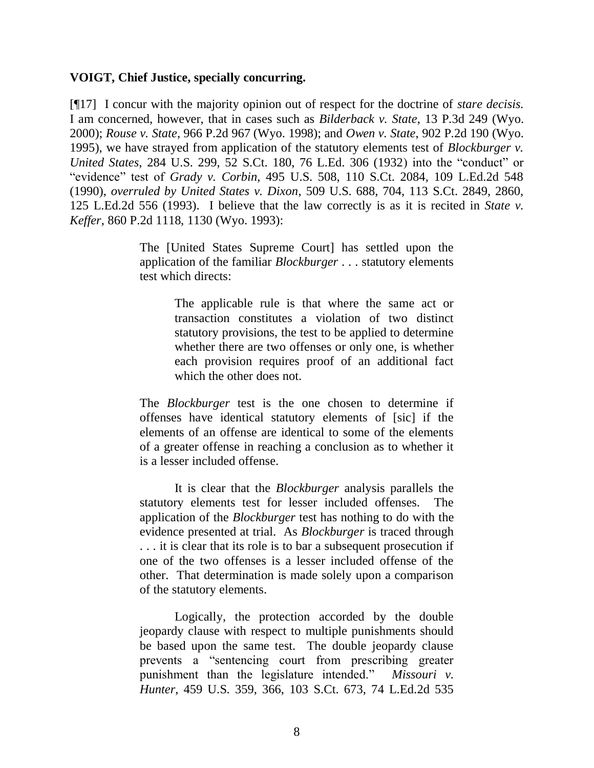#### **VOIGT, Chief Justice, specially concurring.**

[¶17] I concur with the majority opinion out of respect for the doctrine of *stare decisis.*  I am concerned, however, that in cases such as *Bilderback v. State*, 13 P.3d 249 (Wyo. 2000); *Rouse v. State*, 966 P.2d 967 (Wyo. 1998); and *Owen v. State*, 902 P.2d 190 (Wyo. 1995), we have strayed from application of the statutory elements test of *Blockburger v. United States*, 284 U.S. 299, 52 S.Ct. 180, 76 L.Ed. 306 (1932) into the "conduct" or "evidence" test of *Grady v. Corbin*, 495 U.S. 508, 110 S.Ct. 2084, 109 L.Ed.2d 548 (1990), *overruled by United States v. Dixon*, 509 U.S. 688, 704, 113 S.Ct. 2849, 2860, 125 L.Ed.2d 556 (1993). I believe that the law correctly is as it is recited in *State v. Keffer*, 860 P.2d 1118, 1130 (Wyo. 1993):

> The [United States Supreme Court] has settled upon the application of the familiar *Blockburger* . . . statutory elements test which directs:

> > The applicable rule is that where the same act or transaction constitutes a violation of two distinct statutory provisions, the test to be applied to determine whether there are two offenses or only one, is whether each provision requires proof of an additional fact which the other does not.

The *Blockburger* test is the one chosen to determine if offenses have identical statutory elements of [sic] if the elements of an offense are identical to some of the elements of a greater offense in reaching a conclusion as to whether it is a lesser included offense.

It is clear that the *Blockburger* analysis parallels the statutory elements test for lesser included offenses. The application of the *Blockburger* test has nothing to do with the evidence presented at trial. As *Blockburger* is traced through . . . it is clear that its role is to bar a subsequent prosecution if one of the two offenses is a lesser included offense of the other. That determination is made solely upon a comparison of the statutory elements.

Logically, the protection accorded by the double jeopardy clause with respect to multiple punishments should be based upon the same test. The double jeopardy clause prevents a "sentencing court from prescribing greater punishment than the legislature intended." *Missouri v. Hunter*, 459 U.S. 359, 366, 103 S.Ct. 673, 74 L.Ed.2d 535